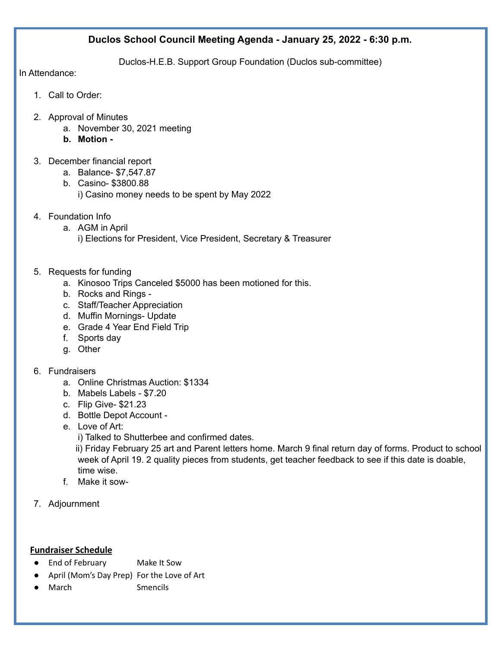## **Duclos School Council Meeting Agenda - January 25, 2022 - 6:30 p.m.**

Duclos-H.E.B. Support Group Foundation (Duclos sub-committee)

In Attendance:

- 1. Call to Order:
- 2. Approval of Minutes
	- a. November 30, 2021 meeting
	- **b. Motion -**
- 3. December financial report
	- a. Balance- \$7,547.87
	- b. Casino- \$3800.88
		- i) Casino money needs to be spent by May 2022
- 4. Foundation Info
	- a. AGM in April
		- i) Elections for President, Vice President, Secretary & Treasurer
- 5. Requests for funding
	- a. Kinosoo Trips Canceled \$5000 has been motioned for this.
	- b. Rocks and Rings -
	- c. Staff/Teacher Appreciation
	- d. Muffin Mornings- Update
	- e. Grade 4 Year End Field Trip
	- f. Sports day
	- g. Other
- 6. Fundraisers
	- a. Online Christmas Auction: \$1334
	- b. Mabels Labels \$7.20
	- c. Flip Give- \$21.23
	- d. Bottle Depot Account -
	- e. Love of Art:
		- i) Talked to Shutterbee and confirmed dates.

ii) Friday February 25 art and Parent letters home. March 9 final return day of forms. Product to school week of April 19. 2 quality pieces from students, get teacher feedback to see if this date is doable, time wise.

- f. Make it sow-
- 7. Adjournment

### **Fundraiser Schedule**

- End of February Make It Sow
- April (Mom's Day Prep) For the Love of Art
- March Smencils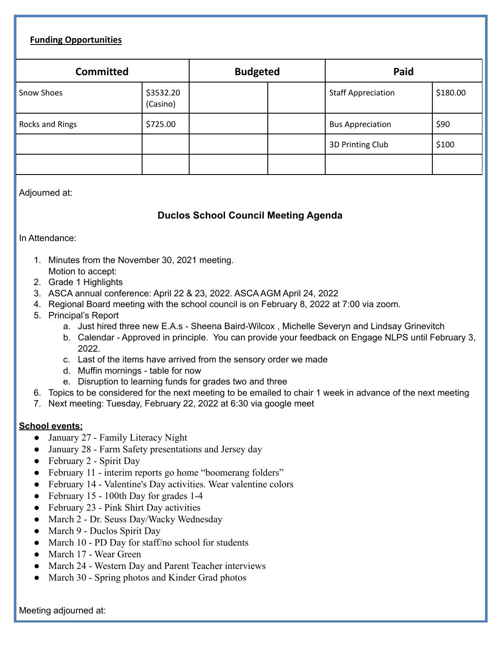### **Funding Opportunities**

| <b>Committed</b> |                       | <b>Budgeted</b> |  | Paid                      |          |
|------------------|-----------------------|-----------------|--|---------------------------|----------|
| Snow Shoes       | \$3532.20<br>(Casino) |                 |  | <b>Staff Appreciation</b> | \$180.00 |
| Rocks and Rings  | \$725.00              |                 |  | <b>Bus Appreciation</b>   | \$90     |
|                  |                       |                 |  | 3D Printing Club          | \$100    |
|                  |                       |                 |  |                           |          |

Adjourned at:

# **Duclos School Council Meeting Agenda**

In Attendance:

- 1. Minutes from the November 30, 2021 meeting. Motion to accept:
- 2. Grade 1 Highlights
- 3. ASCA annual conference: April 22 & 23, 2022. ASCA AGM April 24, 2022
- 4. Regional Board meeting with the school council is on February 8, 2022 at 7:00 via zoom.
- 5. Principal's Report
	- a. Just hired three new E.A.s Sheena Baird-Wilcox , Michelle Severyn and Lindsay Grinevitch
	- b. Calendar Approved in principle. You can provide your feedback on Engage NLPS until February 3, 2022.
	- c. Last of the items have arrived from the sensory order we made
	- d. Muffin mornings table for now
	- e. Disruption to learning funds for grades two and three
- 6. Topics to be considered for the next meeting to be emailed to chair 1 week in advance of the next meeting
- 7. Next meeting: Tuesday, February 22, 2022 at 6:30 via google meet

#### **School events:**

- January 27 Family Literacy Night
- January 28 Farm Safety presentations and Jersey day
- February 2 Spirit Day
- February 11 interim reports go home "boomerang folders"
- February 14 Valentine's Day activities. Wear valentine colors
- February 15 100th Day for grades 1-4
- February 23 Pink Shirt Day activities
- March 2 Dr. Seuss Day/Wacky Wednesday
- March 9 Duclos Spirit Day
- March 10 PD Day for staff/no school for students
- March 17 Wear Green
- March 24 Western Day and Parent Teacher interviews
- March 30 Spring photos and Kinder Grad photos

Meeting adjourned at: